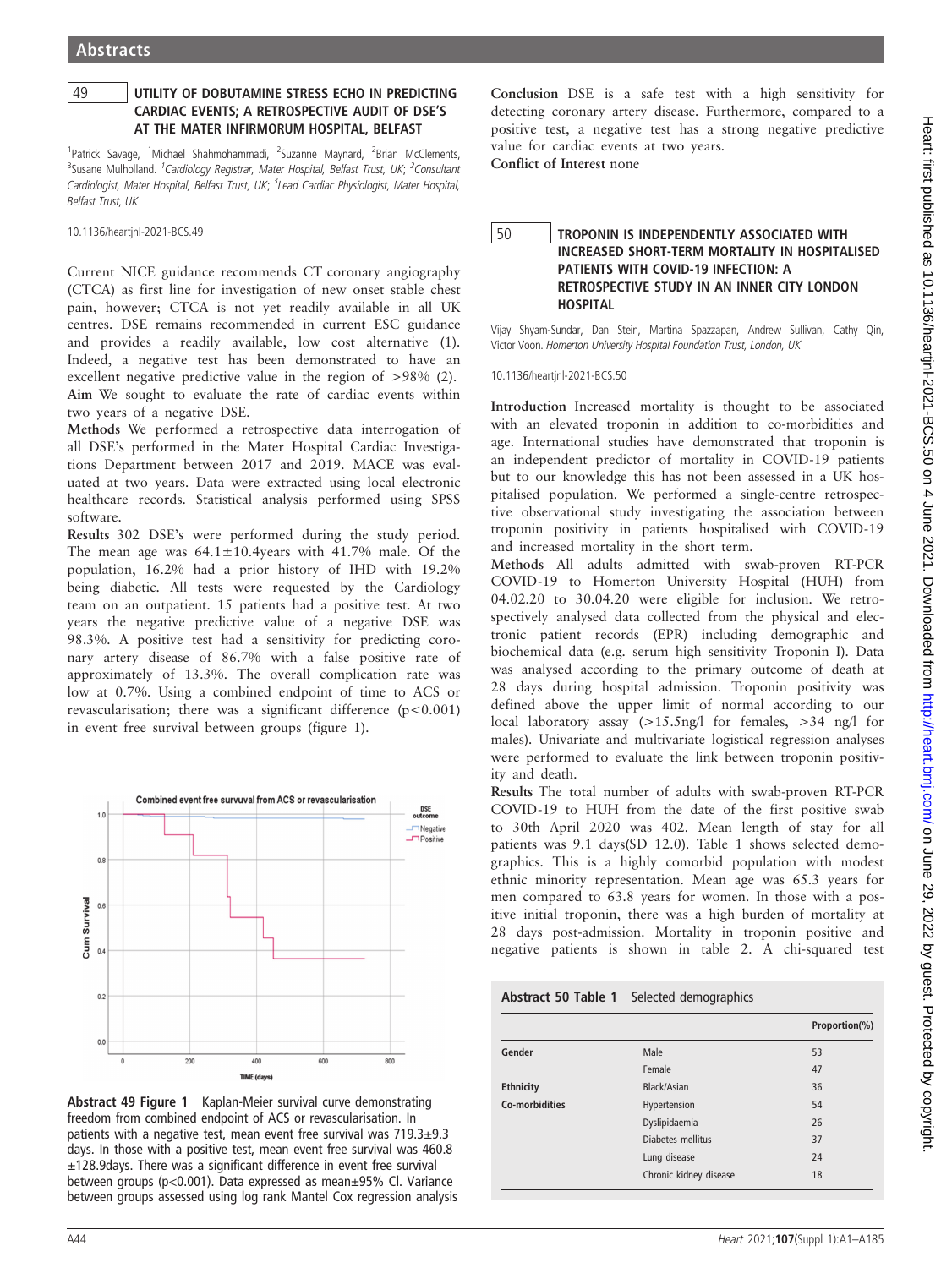## 49 UTILITY OF DOBUTAMINE STRESS ECHO IN PREDICTING CARDIAC EVENTS; A RETROSPECTIVE AUDIT OF DSE'S AT THE MATER INFIRMORUM HOSPITAL, BELFAST

<sup>1</sup>Patrick Savage, <sup>1</sup>Michael Shahmohammadi, <sup>2</sup>Suzanne Maynard, <sup>2</sup>Brian McClements, <sup>3</sup>Susane Mulholland. <sup>1</sup>Cardiology Registrar, Mater Hospital, Belfast Trust, UK; <sup>2</sup>Consultant Cardiologist, Mater Hospital, Belfast Trust, UK; <sup>3</sup>Lead Cardiac Physiologist, Mater Hospital, Belfast Trust, UK

10.1136/heartjnl-2021-BCS.49

Current NICE guidance recommends CT coronary angiography (CTCA) as first line for investigation of new onset stable chest pain, however; CTCA is not yet readily available in all UK centres. DSE remains recommended in current ESC guidance and provides a readily available, low cost alternative (1). Indeed, a negative test has been demonstrated to have an excellent negative predictive value in the region of >98% (2). Aim We sought to evaluate the rate of cardiac events within two years of a negative DSE.

Methods We performed a retrospective data interrogation of all DSE's performed in the Mater Hospital Cardiac Investigations Department between 2017 and 2019. MACE was evaluated at two years. Data were extracted using local electronic healthcare records. Statistical analysis performed using SPSS software.

Results 302 DSE's were performed during the study period. The mean age was  $64.1 \pm 10.4$  years with 41.7% male. Of the population, 16.2% had a prior history of IHD with 19.2% being diabetic. All tests were requested by the Cardiology team on an outpatient. 15 patients had a positive test. At two years the negative predictive value of a negative DSE was 98.3%. A positive test had a sensitivity for predicting coronary artery disease of 86.7% with a false positive rate of approximately of 13.3%. The overall complication rate was low at 0.7%. Using a combined endpoint of time to ACS or revascularisation; there was a significant difference  $(p<0.001)$ in event free survival between groups (figure 1).



Abstract 49 Figure 1 Kaplan-Meier survival curve demonstrating freedom from combined endpoint of ACS or revascularisation. In patients with a negative test, mean event free survival was 719.3±9.3 days. In those with a positive test, mean event free survival was 460.8 ±128.9days. There was a significant difference in event free survival between groups (p<0.001). Data expressed as mean±95% Cl. Variance between groups assessed using log rank Mantel Cox regression analysis

Conclusion DSE is a safe test with a high sensitivity for detecting coronary artery disease. Furthermore, compared to a positive test, a negative test has a strong negative predictive value for cardiac events at two years.

Conflict of Interest none

## 50 TROPONIN IS INDEPENDENTLY ASSOCIATED WITH INCREASED SHORT-TERM MORTALITY IN HOSPITALISED PATIENTS WITH COVID-19 INFECTION: A RETROSPECTIVE STUDY IN AN INNER CITY LONDON **HOSPITAL**

Vijay Shyam-Sundar, Dan Stein, Martina Spazzapan, Andrew Sullivan, Cathy Qin, Victor Voon. Homerton University Hospital Foundation Trust, London, UK

10.1136/heartjnl-2021-BCS.50

Introduction Increased mortality is thought to be associated with an elevated troponin in addition to co-morbidities and age. International studies have demonstrated that troponin is an independent predictor of mortality in COVID-19 patients but to our knowledge this has not been assessed in a UK hospitalised population. We performed a single-centre retrospective observational study investigating the association between troponin positivity in patients hospitalised with COVID-19 and increased mortality in the short term.

Methods All adults admitted with swab-proven RT-PCR COVID-19 to Homerton University Hospital (HUH) from 04.02.20 to 30.04.20 were eligible for inclusion. We retrospectively analysed data collected from the physical and electronic patient records (EPR) including demographic and biochemical data (e.g. serum high sensitivity Troponin I). Data was analysed according to the primary outcome of death at 28 days during hospital admission. Troponin positivity was defined above the upper limit of normal according to our local laboratory assay (>15.5ng/l for females, >34 ng/l for males). Univariate and multivariate logistical regression analyses were performed to evaluate the link between troponin positivity and death.

Results The total number of adults with swab-proven RT-PCR COVID-19 to HUH from the date of the first positive swab to 30th April 2020 was 402. Mean length of stay for all patients was 9.1 days(SD 12.0). Table 1 shows selected demographics. This is a highly comorbid population with modest ethnic minority representation. Mean age was 65.3 years for men compared to 63.8 years for women. In those with a positive initial troponin, there was a high burden of mortality at 28 days post-admission. Mortality in troponin positive and negative patients is shown in table 2. A chi-squared test

|  | Abstract 50 Table 1 Selected demographics |
|--|-------------------------------------------|
|--|-------------------------------------------|

|                  |                        | Proportion(%) |
|------------------|------------------------|---------------|
| Gender           | Male                   | 53            |
|                  | Female                 | 47            |
| <b>Ethnicity</b> | Black/Asian            | 36            |
| Co-morbidities   | Hypertension           | 54            |
|                  | Dyslipidaemia          | 26            |
|                  | Diabetes mellitus      | 37            |
|                  | Lung disease           | 24            |
|                  | Chronic kidney disease | 18            |
|                  |                        |               |